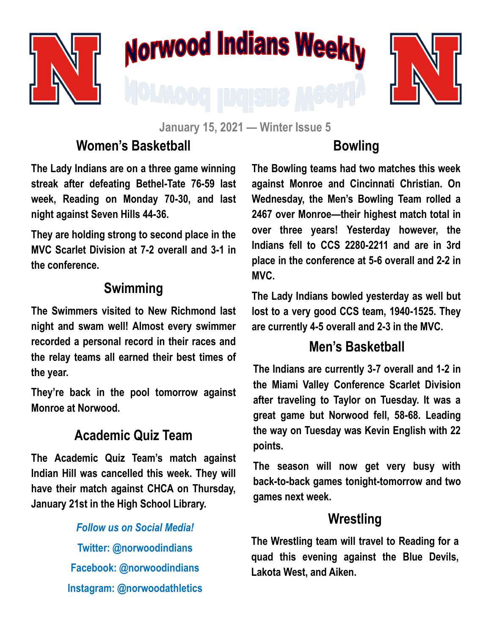

# **Norwood Indians Weekly**



**January 15, 2021 — Winter Issue 5**

# **Women's Basketball**

**The Lady Indians are on a three game winning streak after defeating Bethel-Tate 76-59 last week, Reading on Monday 70-30, and last night against Seven Hills 44-36.**

**They are holding strong to second place in the MVC Scarlet Division at 7-2 overall and 3-1 in the conference.**

### **Swimming**

**The Swimmers visited to New Richmond last night and swam well! Almost every swimmer recorded a personal record in their races and the relay teams all earned their best times of the year.** 

**They're back in the pool tomorrow against Monroe at Norwood.**

## **Academic Quiz Team**

**The Academic Quiz Team's match against Indian Hill was cancelled this week. They will have their match against CHCA on Thursday, January 21st in the High School Library.**

> *Follow us on Social Media!* **Twitter: @norwoodindians Facebook: @norwoodindians Instagram: @norwoodathletics**

# **Bowling**

**The Bowling teams had two matches this week against Monroe and Cincinnati Christian. On Wednesday, the Men's Bowling Team rolled a 2467 over Monroe—their highest match total in over three years! Yesterday however, the Indians fell to CCS 2280-2211 and are in 3rd place in the conference at 5-6 overall and 2-2 in MVC.**

**The Lady Indians bowled yesterday as well but lost to a very good CCS team, 1940-1525. They are currently 4-5 overall and 2-3 in the MVC.**

#### **Men's Basketball**

**The Indians are currently 3-7 overall and 1-2 in the Miami Valley Conference Scarlet Division after traveling to Taylor on Tuesday. It was a great game but Norwood fell, 58-68. Leading the way on Tuesday was Kevin English with 22 points.** 

**The season will now get very busy with back-to-back games tonight-tomorrow and two games next week.**

#### **Wrestling**

**The Wrestling team will travel to Reading for a quad this evening against the Blue Devils, Lakota West, and Aiken.**